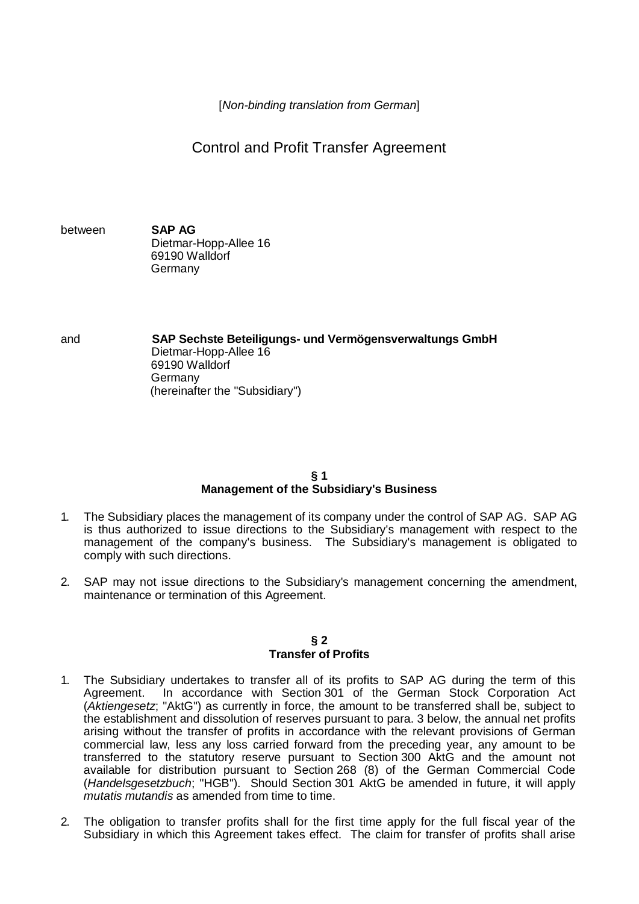[*Non-binding translation from German*]

Control and Profit Transfer Agreement

between **SAP AG** Dietmar-Hopp-Allee 16 69190 Walldorf Germany

and **SAP Sechste Beteiligungs- und Vermögensverwaltungs GmbH** Dietmar-Hopp-Allee 16 69190 Walldorf Germany (hereinafter the "Subsidiary")

# **§ 1 Management of the Subsidiary's Business**

- 1. The Subsidiary places the management of its company under the control of SAP AG. SAP AG is thus authorized to issue directions to the Subsidiary's management with respect to the management of the company's business. The Subsidiary's management is obligated to comply with such directions.
- 2. SAP may not issue directions to the Subsidiary's management concerning the amendment, maintenance or termination of this Agreement.

#### **§ 2 Transfer of Profits**

- 1. The Subsidiary undertakes to transfer all of its profits to SAP AG during the term of this Agreement. In accordance with Section 301 of the German Stock Corporation Act (*Aktiengesetz*; "AktG") as currently in force, the amount to be transferred shall be, subject to the establishment and dissolution of reserves pursuant to para. 3 below, the annual net profits arising without the transfer of profits in accordance with the relevant provisions of German commercial law, less any loss carried forward from the preceding year, any amount to be transferred to the statutory reserve pursuant to Section 300 AktG and the amount not available for distribution pursuant to Section 268 (8) of the German Commercial Code (*Handelsgesetzbuch*; "HGB"). Should Section 301 AktG be amended in future, it will apply *mutatis mutandis* as amended from time to time.
- 2. The obligation to transfer profits shall for the first time apply for the full fiscal year of the Subsidiary in which this Agreement takes effect. The claim for transfer of profits shall arise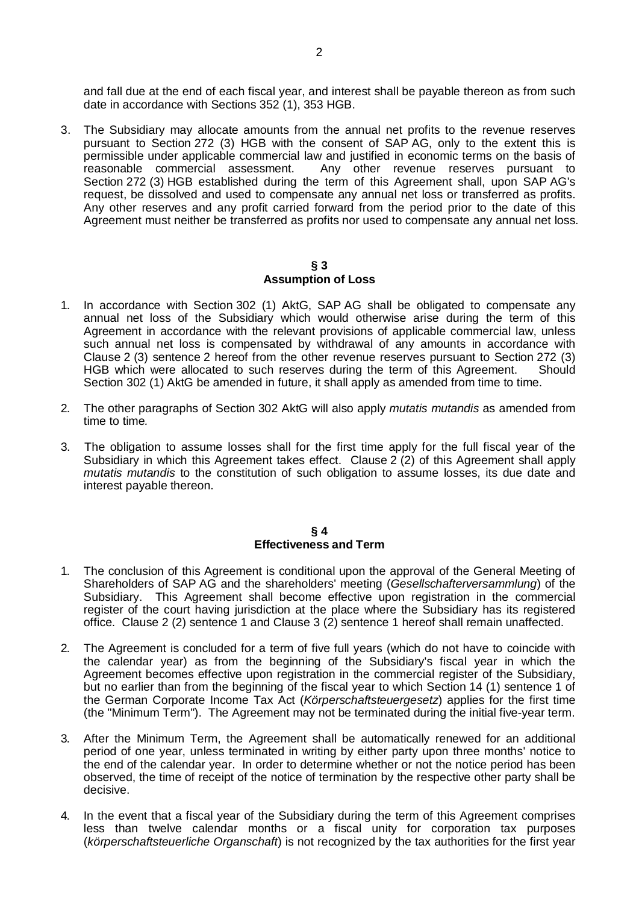and fall due at the end of each fiscal year, and interest shall be payable thereon as from such date in accordance with Sections 352 (1), 353 HGB.

3. The Subsidiary may allocate amounts from the annual net profits to the revenue reserves pursuant to Section 272 (3) HGB with the consent of SAP AG, only to the extent this is permissible under applicable commercial law and justified in economic terms on the basis of reasonable commercial assessment. Any other revenue reserves pursuant to Section 272 (3) HGB established during the term of this Agreement shall, upon SAP AG's request, be dissolved and used to compensate any annual net loss or transferred as profits. Any other reserves and any profit carried forward from the period prior to the date of this Agreement must neither be transferred as profits nor used to compensate any annual net loss.

### **§ 3 Assumption of Loss**

- 1. In accordance with Section 302 (1) AktG, SAP AG shall be obligated to compensate any annual net loss of the Subsidiary which would otherwise arise during the term of this Agreement in accordance with the relevant provisions of applicable commercial law, unless such annual net loss is compensated by withdrawal of any amounts in accordance with Clause 2 (3) sentence 2 hereof from the other revenue reserves pursuant to Section 272 (3) HGB which were allocated to such reserves during the term of this Agreement. Should Section 302 (1) AktG be amended in future, it shall apply as amended from time to time.
- 2. The other paragraphs of Section 302 AktG will also apply *mutatis mutandis* as amended from time to time*.*
- 3. The obligation to assume losses shall for the first time apply for the full fiscal year of the Subsidiary in which this Agreement takes effect. Clause 2 (2) of this Agreement shall apply *mutatis mutandis* to the constitution of such obligation to assume losses, its due date and interest payable thereon.

### **§ 4 Effectiveness and Term**

- 1. The conclusion of this Agreement is conditional upon the approval of the General Meeting of Shareholders of SAP AG and the shareholders' meeting (*Gesellschafterversammlung*) of the Subsidiary. This Agreement shall become effective upon registration in the commercial register of the court having jurisdiction at the place where the Subsidiary has its registered office. Clause 2 (2) sentence 1 and Clause 3 (2) sentence 1 hereof shall remain unaffected.
- 2. The Agreement is concluded for a term of five full years (which do not have to coincide with the calendar year) as from the beginning of the Subsidiary's fiscal year in which the Agreement becomes effective upon registration in the commercial register of the Subsidiary, but no earlier than from the beginning of the fiscal year to which Section 14 (1) sentence 1 of the German Corporate Income Tax Act (*Körperschaftsteuergesetz*) applies for the first time (the "Minimum Term"). The Agreement may not be terminated during the initial five-year term.
- 3. After the Minimum Term, the Agreement shall be automatically renewed for an additional period of one year, unless terminated in writing by either party upon three months' notice to the end of the calendar year. In order to determine whether or not the notice period has been observed, the time of receipt of the notice of termination by the respective other party shall be decisive.
- 4. In the event that a fiscal year of the Subsidiary during the term of this Agreement comprises less than twelve calendar months or a fiscal unity for corporation tax purposes (*körperschaftsteuerliche Organschaft*) is not recognized by the tax authorities for the first year